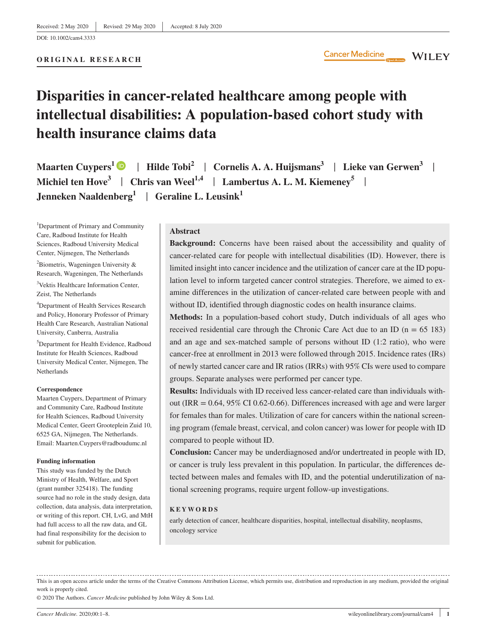# **Disparities in cancer-related healthcare among people with intellectual disabilities: A population-based cohort study with health insurance claims data**

**Maarten Cuypers<sup>[1](https://orcid.org/0000-0003-1715-4375)</sup> | Hilde Tobi<sup>2</sup> | Cornelis A. A. Huijsmans<sup>3</sup> | Lieke van Gerwen<sup>3</sup> | Michiel ten Hove<sup>3</sup> | Chris van Weel<sup>1,4</sup> | Lambertus A. L. M. Kiemeney<sup>5</sup> | Jenneken Naaldenberg**<sup>1</sup> | Geraline L. Leusink<sup>1</sup>

<sup>1</sup>Department of Primary and Community Care, Radboud Institute for Health Sciences, Radboud University Medical Center, Nijmegen, The Netherlands

<sup>2</sup>Biometris, Wageningen University  $\&$ Research, Wageningen, The Netherlands

3 Vektis Healthcare Information Center, Zeist, The Netherlands

4 Department of Health Services Research and Policy, Honorary Professor of Primary Health Care Research, Australian National University, Canberra, Australia

5 Department for Health Evidence, Radboud Institute for Health Sciences, Radboud University Medical Center, Nijmegen, The Netherlands

#### **Correspondence**

Maarten Cuypers, Department of Primary and Community Care, Radboud Institute for Health Sciences, Radboud University Medical Center, Geert Grooteplein Zuid 10, 6525 GA, Nijmegen, The Netherlands. Email: [Maarten.Cuypers@radboudumc.nl](mailto:Maarten.Cuypers@radboudumc.nl)

#### **Funding information**

This study was funded by the Dutch Ministry of Health, Welfare, and Sport (grant number 325418). The funding source had no role in the study design, data collection, data analysis, data interpretation, or writing of this report. CH, LvG, and MtH had full access to all the raw data, and GL had final responsibility for the decision to submit for publication.

#### **Abstract**

**Background:** Concerns have been raised about the accessibility and quality of cancer-related care for people with intellectual disabilities (ID). However, there is limited insight into cancer incidence and the utilization of cancer care at the ID population level to inform targeted cancer control strategies. Therefore, we aimed to examine differences in the utilization of cancer-related care between people with and without ID, identified through diagnostic codes on health insurance claims.

**Methods:** In a population-based cohort study, Dutch individuals of all ages who received residential care through the Chronic Care Act due to an ID ( $n = 65$  183) and an age and sex-matched sample of persons without ID (1:2 ratio), who were cancer-free at enrollment in 2013 were followed through 2015. Incidence rates (IRs) of newly started cancer care and IR ratios (IRRs) with 95% CIs were used to compare groups. Separate analyses were performed per cancer type.

**Results:** Individuals with ID received less cancer-related care than individuals without (IRR =  $0.64$ , 95% CI 0.62-0.66). Differences increased with age and were larger for females than for males. Utilization of care for cancers within the national screening program (female breast, cervical, and colon cancer) was lower for people with ID compared to people without ID.

**Conclusion:** Cancer may be underdiagnosed and/or undertreated in people with ID, or cancer is truly less prevalent in this population. In particular, the differences detected between males and females with ID, and the potential underutilization of national screening programs, require urgent follow-up investigations.

#### **KEYWORDS**

early detection of cancer, healthcare disparities, hospital, intellectual disability, neoplasms, oncology service

This is an open access article under the terms of the [Creative Commons Attribution](http://creativecommons.org/licenses/by/4.0/) License, which permits use, distribution and reproduction in any medium, provided the original work is properly cited.

© 2020 The Authors. *Cancer Medicine* published by John Wiley & Sons Ltd.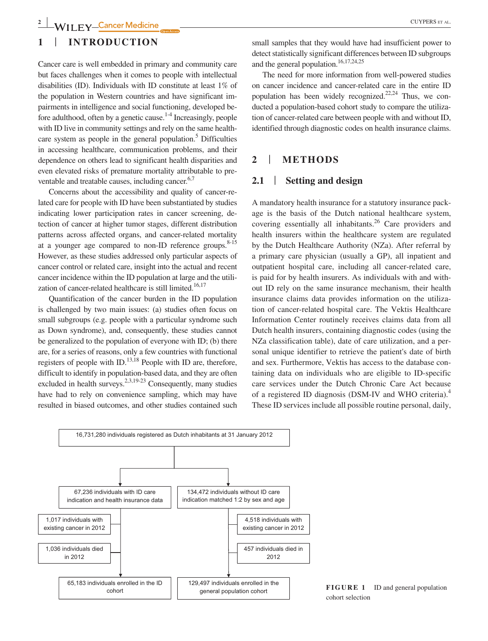**2 LWIIFY** Cancer Medicine **2008 2008 2009 2009 2009 2009 2009 2009 2009 2009 2009 2009 2009 2009 2009 2009 2009 2009 2009 2009 2009 2009 2009 2009 2009 2009 2009 200** 

# **1** | **INTRODUCTION**

Cancer care is well embedded in primary and community care but faces challenges when it comes to people with intellectual disabilities (ID). Individuals with ID constitute at least 1% of the population in Western countries and have significant impairments in intelligence and social functioning, developed before adulthood, often by a genetic cause.<sup>1-4</sup> Increasingly, people with ID live in community settings and rely on the same healthcare system as people in the general population. $5$  Difficulties in accessing healthcare, communication problems, and their dependence on others lead to significant health disparities and even elevated risks of premature mortality attributable to preventable and treatable causes, including cancer. $6,7$ 

Concerns about the accessibility and quality of cancer-related care for people with ID have been substantiated by studies indicating lower participation rates in cancer screening, detection of cancer at higher tumor stages, different distribution patterns across affected organs, and cancer-related mortality at a younger age compared to non-ID reference groups. $8-15$ However, as these studies addressed only particular aspects of cancer control or related care, insight into the actual and recent cancer incidence within the ID population at large and the utilization of cancer-related healthcare is still limited.<sup>16,17</sup>

Quantification of the cancer burden in the ID population is challenged by two main issues: (a) studies often focus on small subgroups (e.g. people with a particular syndrome such as Down syndrome), and, consequently, these studies cannot be generalized to the population of everyone with ID; (b) there are, for a series of reasons, only a few countries with functional registers of people with ID.<sup>13,18</sup> People with ID are, therefore, difficult to identify in population-based data, and they are often excluded in health surveys.<sup>2,3,19-23</sup> Consequently, many studies have had to rely on convenience sampling, which may have resulted in biased outcomes, and other studies contained such small samples that they would have had insufficient power to detect statistically significant differences between ID subgroups and the general population.<sup>16,17,24,25</sup>

The need for more information from well-powered studies on cancer incidence and cancer-related care in the entire ID population has been widely recognized.<sup>22,24</sup> Thus, we conducted a population-based cohort study to compare the utilization of cancer-related care between people with and without ID, identified through diagnostic codes on health insurance claims.

# **2** | **METHODS**

### **2.1** | **Setting and design**

A mandatory health insurance for a statutory insurance package is the basis of the Dutch national healthcare system, covering essentially all inhabitants.<sup>26</sup> Care providers and health insurers within the healthcare system are regulated by the Dutch Healthcare Authority (NZa). After referral by a primary care physician (usually a GP), all inpatient and outpatient hospital care, including all cancer-related care, is paid for by health insurers. As individuals with and without ID rely on the same insurance mechanism, their health insurance claims data provides information on the utilization of cancer-related hospital care. The Vektis Healthcare Information Center routinely receives claims data from all Dutch health insurers, containing diagnostic codes (using the NZa classification table), date of care utilization, and a personal unique identifier to retrieve the patient's date of birth and sex. Furthermore, Vektis has access to the database containing data on individuals who are eligible to ID-specific care services under the Dutch Chronic Care Act because of a registered ID diagnosis (DSM-IV and WHO criteria).<sup>4</sup> These ID services include all possible routine personal, daily,



**FIGURE 1** ID and general population cohort selection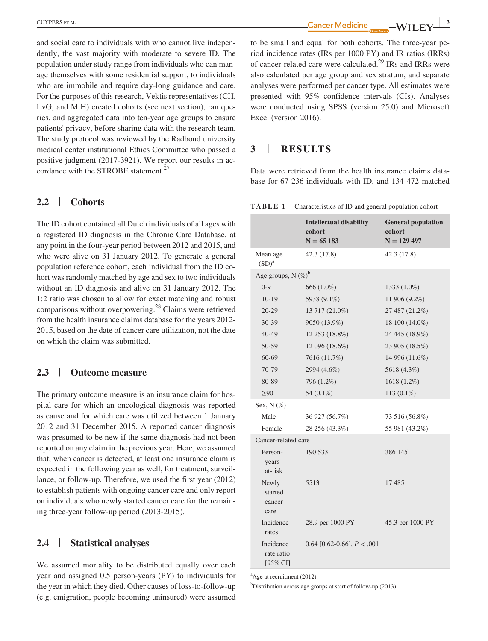and social care to individuals with who cannot live independently, the vast majority with moderate to severe ID. The population under study range from individuals who can manage themselves with some residential support, to individuals who are immobile and require day-long guidance and care. For the purposes of this research, Vektis representatives (CH, LvG, and MtH) created cohorts (see next section), ran queries, and aggregated data into ten-year age groups to ensure patients' privacy, before sharing data with the research team. The study protocol was reviewed by the Radboud university medical center institutional Ethics Committee who passed a positive judgment (2017-3921). We report our results in accordance with the STROBE statement.<sup>27</sup>

# **2.2** | **Cohorts**

The ID cohort contained all Dutch individuals of all ages with a registered ID diagnosis in the Chronic Care Database, at any point in the four-year period between 2012 and 2015, and who were alive on 31 January 2012. To generate a general population reference cohort, each individual from the ID cohort was randomly matched by age and sex to two individuals without an ID diagnosis and alive on 31 January 2012. The 1:2 ratio was chosen to allow for exact matching and robust comparisons without overpowering.28 Claims were retrieved from the health insurance claims database for the years 2012- 2015, based on the date of cancer care utilization, not the date on which the claim was submitted.

# **2.3** | **Outcome measure**

The primary outcome measure is an insurance claim for hospital care for which an oncological diagnosis was reported as cause and for which care was utilized between 1 January 2012 and 31 December 2015. A reported cancer diagnosis was presumed to be new if the same diagnosis had not been reported on any claim in the previous year. Here, we assumed that, when cancer is detected, at least one insurance claim is expected in the following year as well, for treatment, surveillance, or follow-up. Therefore, we used the first year (2012) to establish patients with ongoing cancer care and only report on individuals who newly started cancer care for the remaining three-year follow-up period (2013-2015).

# **2.4** | **Statistical analyses**

We assumed mortality to be distributed equally over each year and assigned 0.5 person-years (PY) to individuals for the year in which they died. Other causes of loss-to-follow-up (e.g. emigration, people becoming uninsured) were assumed

**EUYPERS** ET AL. **3 CANCERS** ET AL. **3 CANCERS** ET AL. **3 CANCERS** ET AL.

to be small and equal for both cohorts. The three-year period incidence rates (IRs per 1000 PY) and IR ratios (IRRs) of cancer-related care were calculated.<sup>29</sup> IRs and IRRs were also calculated per age group and sex stratum, and separate analyses were performed per cancer type. All estimates were presented with 95% confidence intervals (CIs). Analyses were conducted using SPSS (version 25.0) and Microsoft Excel (version 2016).

# **3** | **RESULTS**

Data were retrieved from the health insurance claims database for 67 236 individuals with ID, and 134 472 matched

**TABLE 1** Characteristics of ID and general population cohort

|                                     | <b>Intellectual disability</b><br>cohort<br>$N = 65183$ | <b>General population</b><br>cohort<br>$N = 129497$ |  |  |  |
|-------------------------------------|---------------------------------------------------------|-----------------------------------------------------|--|--|--|
| Mean age<br>$(SD)^a$                | 42.3 (17.8)                                             | 42.3 (17.8)                                         |  |  |  |
| Age groups, N $(\%)^b$              |                                                         |                                                     |  |  |  |
| $0 - 9$                             | 666 (1.0%)                                              | 1333 (1.0%)                                         |  |  |  |
| $10-19$                             | 5938 (9.1%)                                             | 11 906 (9.2%)                                       |  |  |  |
| $20 - 29$                           | 13 717 (21.0%)                                          | 27 487 (21.2%)                                      |  |  |  |
| 30-39                               | 9050 (13.9%)                                            | 18 100 (14.0%)                                      |  |  |  |
| $40 - 49$                           | 12 253 (18.8%)                                          | 24 445 (18.9%)                                      |  |  |  |
| 50-59                               | 12 096 (18.6%)                                          | 23 905 (18.5%)                                      |  |  |  |
| $60 - 69$                           | 7616 (11.7%)                                            | 14 996 (11.6%)                                      |  |  |  |
| 70-79                               | 2994 (4.6%)                                             | 5618 (4.3%)                                         |  |  |  |
| 80-89                               | 796 (1.2%)                                              | 1618 (1.2%)                                         |  |  |  |
| > 90                                | 54 (0.1%)                                               | 113 (0.1%)                                          |  |  |  |
| Sex, $N(\%)$                        |                                                         |                                                     |  |  |  |
| Male                                | 36 927 (56.7%)                                          | 73 516 (56.8%)                                      |  |  |  |
| Female                              | 28 256 (43.3%)                                          | 55 981 (43.2%)                                      |  |  |  |
| Cancer-related care                 |                                                         |                                                     |  |  |  |
| Person-<br>years<br>at-risk         | 190 533                                                 | 386 145                                             |  |  |  |
| Newly<br>started<br>cancer<br>care  | 5513                                                    | 17485                                               |  |  |  |
| Incidence<br>rates                  | 28.9 per 1000 PY                                        | 45.3 per 1000 PY                                    |  |  |  |
| Incidence<br>rate ratio<br>[95% CI] | 0.64 [0.62-0.66], $P < .001$                            |                                                     |  |  |  |

<sup>a</sup>Age at recruitment (2012).

b Distribution across age groups at start of follow-up (2013).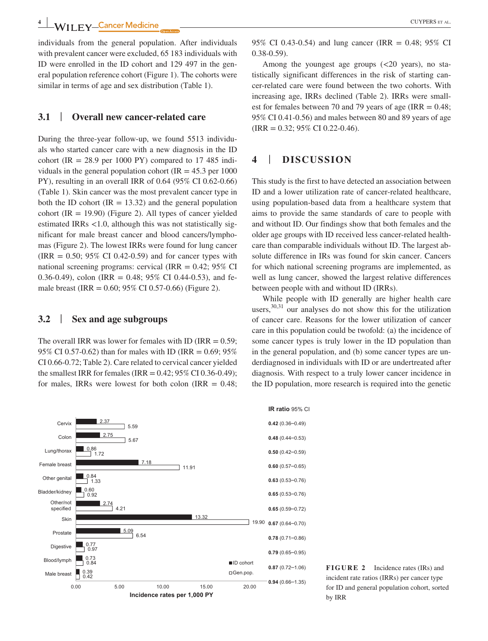**4 WII FV** Cancer Medicine **CUYPERS ET AL.** 

individuals from the general population. After individuals with prevalent cancer were excluded, 65 183 individuals with ID were enrolled in the ID cohort and 129 497 in the general population reference cohort (Figure 1). The cohorts were similar in terms of age and sex distribution (Table 1).

# **3.1** | **Overall new cancer-related care**

During the three-year follow-up, we found 5513 individuals who started cancer care with a new diagnosis in the ID cohort (IR = 28.9 per 1000 PY) compared to 17 485 individuals in the general population cohort ( $IR = 45.3$  per 1000 PY), resulting in an overall IRR of 0.64 (95% CI 0.62-0.66) (Table 1). Skin cancer was the most prevalent cancer type in both the ID cohort ( $IR = 13.32$ ) and the general population cohort ( $IR = 19.90$ ) (Figure 2). All types of cancer yielded estimated IRRs <1.0, although this was not statistically significant for male breast cancer and blood cancers/lymphomas (Figure 2). The lowest IRRs were found for lung cancer  $IRR = 0.50$ ; 95% CI 0.42-0.59) and for cancer types with national screening programs: cervical (IRR = 0.42; 95% CI 0.36-0.49), colon (IRR = 0.48; 95% CI 0.44-0.53), and female breast (IRR =  $0.60$ ;  $95\%$  CI 0.57-0.66) (Figure 2).

### **3.2** | **Sex and age subgroups**

The overall IRR was lower for females with ID (IRR  $= 0.59$ ; 95% CI 0.57-0.62) than for males with ID (IRR = 0.69; 95% CI 0.66-0.72; Table 2). Care related to cervical cancer yielded the smallest IRR for females (IRR =  $0.42$ ; 95% CI 0.36-0.49); for males, IRRs were lowest for both colon (IRR  $= 0.48$ ;

95% CI 0.43-0.54) and lung cancer (IRR =  $0.48$ ; 95% CI 0.38-0.59).

Among the youngest age groups (<20 years), no statistically significant differences in the risk of starting cancer-related care were found between the two cohorts. With increasing age, IRRs declined (Table 2). IRRs were smallest for females between 70 and 79 years of age (IRR  $= 0.48$ ; 95% CI 0.41-0.56) and males between 80 and 89 years of age  $IIRR = 0.32$ ; 95% CI 0.22-0.46).

# **4** | **DISCUSSION**

This study is the first to have detected an association between ID and a lower utilization rate of cancer-related healthcare, using population-based data from a healthcare system that aims to provide the same standards of care to people with and without ID. Our findings show that both females and the older age groups with ID received less cancer-related healthcare than comparable individuals without ID. The largest absolute difference in IRs was found for skin cancer. Cancers for which national screening programs are implemented, as well as lung cancer, showed the largest relative differences between people with and without ID (IRRs).

While people with ID generally are higher health care users, $30,31$  our analyses do not show this for the utilization of cancer care. Reasons for the lower utilization of cancer care in this population could be twofold: (a) the incidence of some cancer types is truly lower in the ID population than in the general population, and (b) some cancer types are underdiagnosed in individuals with ID or are undertreated after diagnosis. With respect to a truly lower cancer incidence in the ID population, more research is required into the genetic



**FIGURE 2** Incidence rates (IRs) and incident rate ratios (IRRs) per cancer type for ID and general population cohort, sorted by IRR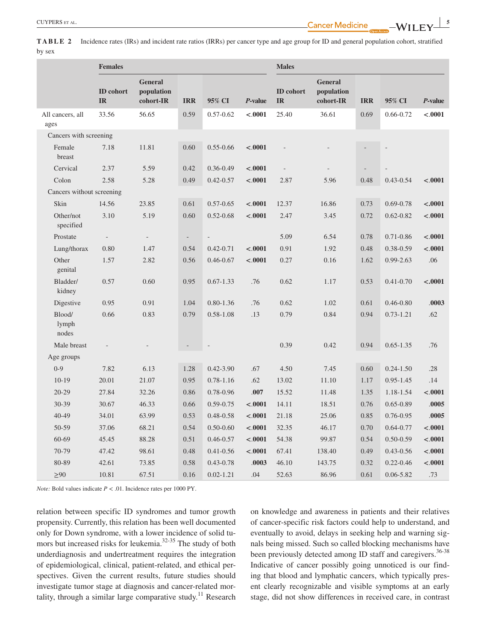**TABLE 2** Incidence rates (IRs) and incident rate ratios (IRRs) per cancer type and age group for ID and general population cohort, stratified by sex

|                           | <b>Females</b>                |                                           |                          |                          |          | <b>Males</b>                  |                                           |            |               |          |
|---------------------------|-------------------------------|-------------------------------------------|--------------------------|--------------------------|----------|-------------------------------|-------------------------------------------|------------|---------------|----------|
|                           | <b>ID</b> cohort<br><b>IR</b> | <b>General</b><br>population<br>cohort-IR | <b>IRR</b>               | 95% CI                   | P-value  | <b>ID</b> cohort<br><b>IR</b> | <b>General</b><br>population<br>cohort-IR | <b>IRR</b> | 95% CI        | P-value  |
| All cancers, all<br>ages  | 33.56                         | 56.65                                     | 0.59                     | $0.57 - 0.62$            | $-.0001$ | 25.40                         | 36.61                                     | 0.69       | $0.66 - 0.72$ | $-.0001$ |
| Cancers with screening    |                               |                                           |                          |                          |          |                               |                                           |            |               |          |
| Female<br>breast          | 7.18                          | 11.81                                     | 0.60                     | $0.55 - 0.66$            | $-.0001$ |                               |                                           |            |               |          |
| Cervical                  | 2.37                          | 5.59                                      | 0.42                     | $0.36 - 0.49$            | $-.0001$ | $\qquad \qquad -$             | $\overline{a}$                            |            |               |          |
| Colon                     | 2.58                          | 5.28                                      | 0.49                     | $0.42 - 0.57$            | $-.0001$ | 2.87                          | 5.96                                      | 0.48       | $0.43 - 0.54$ | $-.0001$ |
| Cancers without screening |                               |                                           |                          |                          |          |                               |                                           |            |               |          |
| Skin                      | 14.56                         | 23.85                                     | 0.61                     | $0.57 - 0.65$            | $-.0001$ | 12.37                         | 16.86                                     | 0.73       | $0.69 - 0.78$ | $-.0001$ |
| Other/not<br>specified    | 3.10                          | 5.19                                      | 0.60                     | $0.52 - 0.68$            | $-.0001$ | 2.47                          | 3.45                                      | 0.72       | $0.62 - 0.82$ | $-.0001$ |
| Prostate                  | $\overline{\phantom{a}}$      | $\overline{\phantom{a}}$                  | $\overline{\phantom{a}}$ | $\overline{\phantom{a}}$ |          | 5.09                          | 6.54                                      | 0.78       | $0.71 - 0.86$ | $-.0001$ |
| Lung/thorax               | 0.80                          | 1.47                                      | 0.54                     | $0.42 - 0.71$            | $-.0001$ | 0.91                          | 1.92                                      | 0.48       | 0.38-0.59     | < .0001  |
| Other<br>genital          | 1.57                          | 2.82                                      | 0.56                     | $0.46 - 0.67$            | < .0001  | 0.27                          | 0.16                                      | 1.62       | 0.99-2.63     | .06      |
| Bladder/<br>kidney        | 0.57                          | 0.60                                      | 0.95                     | $0.67 - 1.33$            | .76      | 0.62                          | 1.17                                      | 0.53       | $0.41 - 0.70$ | $-.0001$ |
| Digestive                 | 0.95                          | 0.91                                      | 1.04                     | $0.80 - 1.36$            | .76      | 0.62                          | 1.02                                      | 0.61       | $0.46 - 0.80$ | .0003    |
| Blood/<br>lymph<br>nodes  | 0.66                          | 0.83                                      | 0.79                     | $0.58 - 1.08$            | .13      | 0.79                          | 0.84                                      | 0.94       | $0.73 - 1.21$ | .62      |
| Male breast               |                               |                                           |                          |                          |          | 0.39                          | 0.42                                      | 0.94       | $0.65 - 1.35$ | .76      |
| Age groups                |                               |                                           |                          |                          |          |                               |                                           |            |               |          |
| $0 - 9$                   | 7.82                          | 6.13                                      | 1.28                     | $0.42 - 3.90$            | .67      | 4.50                          | 7.45                                      | 0.60       | $0.24 - 1.50$ | .28      |
| $10-19$                   | 20.01                         | 21.07                                     | 0.95                     | $0.78 - 1.16$            | .62      | 13.02                         | 11.10                                     | 1.17       | $0.95 - 1.45$ | .14      |
| $20 - 29$                 | 27.84                         | 32.26                                     | 0.86                     | $0.78 - 0.96$            | .007     | 15.52                         | 11.48                                     | 1.35       | 1.18-1.54     | $-.0001$ |
| 30-39                     | 30.67                         | 46.33                                     | 0.66                     | $0.59 - 0.75$            | $-.0001$ | 14.11                         | 18.51                                     | 0.76       | $0.65 - 0.89$ | .0005    |
| $40 - 49$                 | 34.01                         | 63.99                                     | 0.53                     | $0.48 - 0.58$            | $-.0001$ | 21.18                         | 25.06                                     | 0.85       | $0.76 - 0.95$ | .0005    |
| 50-59                     | 37.06                         | 68.21                                     | 0.54                     | $0.50 - 0.60$            | $-.0001$ | 32.35                         | 46.17                                     | 0.70       | $0.64 - 0.77$ | $-.0001$ |
| 60-69                     | 45.45                         | 88.28                                     | 0.51                     | $0.46 - 0.57$            | $-.0001$ | 54.38                         | 99.87                                     | 0.54       | $0.50 - 0.59$ | $-.0001$ |
| 70-79                     | 47.42                         | 98.61                                     | 0.48                     | $0.41 - 0.56$            | $-.0001$ | 67.41                         | 138.40                                    | 0.49       | $0.43 - 0.56$ | $-.0001$ |
| 80-89                     | 42.61                         | 73.85                                     | 0.58                     | $0.43 - 0.78$            | .0003    | 46.10                         | 143.75                                    | 0.32       | $0.22 - 0.46$ | < .0001  |
| >90                       | 10.81                         | 67.51                                     | 0.16                     | $0.02 - 1.21$            | .04      | 52.63                         | 86.96                                     | 0.61       | $0.06 - 5.82$ | .73      |

*Note:* Bold values indicate  $P < .01$ . Incidence rates per 1000 PY.

relation between specific ID syndromes and tumor growth propensity. Currently, this relation has been well documented only for Down syndrome, with a lower incidence of solid tumors but increased risks for leukemia. $32-35$  The study of both underdiagnosis and undertreatment requires the integration of epidemiological, clinical, patient-related, and ethical perspectives. Given the current results, future studies should investigate tumor stage at diagnosis and cancer-related mortality, through a similar large comparative study.<sup>11</sup> Research

on knowledge and awareness in patients and their relatives of cancer-specific risk factors could help to understand, and eventually to avoid, delays in seeking help and warning signals being missed. Such so called blocking mechanisms have been previously detected among ID staff and caregivers.<sup>36-38</sup> Indicative of cancer possibly going unnoticed is our finding that blood and lymphatic cancers, which typically present clearly recognizable and visible symptoms at an early stage, did not show differences in received care, in contrast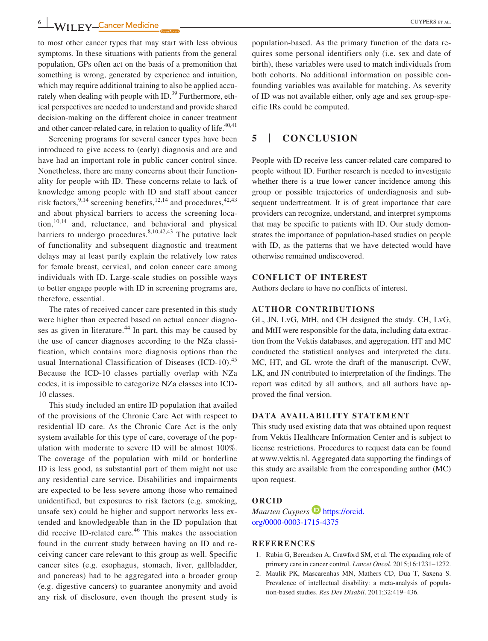to most other cancer types that may start with less obvious symptoms. In these situations with patients from the general population, GPs often act on the basis of a premonition that something is wrong, generated by experience and intuition, which may require additional training to also be applied accurately when dealing with people with ID. $^{39}$  Furthermore, ethical perspectives are needed to understand and provide shared decision-making on the different choice in cancer treatment and other cancer-related care, in relation to quality of life. $40,41$ 

Screening programs for several cancer types have been introduced to give access to (early) diagnosis and are and have had an important role in public cancer control since. Nonetheless, there are many concerns about their functionality for people with ID. These concerns relate to lack of knowledge among people with ID and staff about cancer risk factors,  $9,14$  screening benefits,  $12,14$  and procedures,  $42,43$ and about physical barriers to access the screening location, $10,14$  and, reluctance, and behavioral and physical barriers to undergo procedures.  $8,10,42,43$  The putative lack of functionality and subsequent diagnostic and treatment delays may at least partly explain the relatively low rates for female breast, cervical, and colon cancer care among individuals with ID. Large-scale studies on possible ways to better engage people with ID in screening programs are, therefore, essential.

The rates of received cancer care presented in this study were higher than expected based on actual cancer diagnoses as given in literature.<sup>44</sup> In part, this may be caused by the use of cancer diagnoses according to the NZa classification, which contains more diagnosis options than the usual International Classification of Diseases (ICD-10).<sup>45</sup> Because the ICD-10 classes partially overlap with NZa codes, it is impossible to categorize NZa classes into ICD-10 classes.

This study included an entire ID population that availed of the provisions of the Chronic Care Act with respect to residential ID care. As the Chronic Care Act is the only system available for this type of care, coverage of the population with moderate to severe ID will be almost 100%. The coverage of the population with mild or borderline ID is less good, as substantial part of them might not use any residential care service. Disabilities and impairments are expected to be less severe among those who remained unidentified, but exposures to risk factors (e.g. smoking, unsafe sex) could be higher and support networks less extended and knowledgeable than in the ID population that did receive ID-related care.<sup>46</sup> This makes the association found in the current study between having an ID and receiving cancer care relevant to this group as well. Specific cancer sites (e.g. esophagus, stomach, liver, gallbladder, and pancreas) had to be aggregated into a broader group (e.g. digestive cancers) to guarantee anonymity and avoid any risk of disclosure, even though the present study is

population-based. As the primary function of the data requires some personal identifiers only (i.e. sex and date of birth), these variables were used to match individuals from both cohorts. No additional information on possible confounding variables was available for matching. As severity of ID was not available either, only age and sex group-specific IRs could be computed.

# **5** | **CONCLUSION**

People with ID receive less cancer-related care compared to people without ID. Further research is needed to investigate whether there is a true lower cancer incidence among this group or possible trajectories of underdiagnosis and subsequent undertreatment. It is of great importance that care providers can recognize, understand, and interpret symptoms that may be specific to patients with ID. Our study demonstrates the importance of population-based studies on people with ID, as the patterns that we have detected would have otherwise remained undiscovered.

### **CONFLICT OF INTEREST**

Authors declare to have no conflicts of interest.

### **AUTHOR CONTRIBUTIONS**

GL, JN, LvG, MtH, and CH designed the study. CH, LvG, and MtH were responsible for the data, including data extraction from the Vektis databases, and aggregation. HT and MC conducted the statistical analyses and interpreted the data. MC, HT, and GL wrote the draft of the manuscript. CvW, LK, and JN contributed to interpretation of the findings. The report was edited by all authors, and all authors have approved the final version.

### **DATA AVAILABILITY STATEMENT**

This study used existing data that was obtained upon request from Vektis Healthcare Information Center and is subject to license restrictions. Procedures to request data can be found at [www.vektis.nl](http://www.vektis.nl). Aggregated data supporting the findings of this study are available from the corresponding author (MC) upon request.

### **ORCID**

*Maarten Cuypers* **b** [https://orcid.](https://orcid.org/0000-0003-1715-4375) [org/0000-0003-1715-4375](https://orcid.org/0000-0003-1715-4375)

#### **REFERENCES**

- 1. Rubin G, Berendsen A, Crawford SM, et al. The expanding role of primary care in cancer control. *Lancet Oncol*. 2015;16:1231–1272.
- 2. Maulik PK, Mascarenhas MN, Mathers CD, Dua T, Saxena S. Prevalence of intellectual disability: a meta-analysis of population-based studies. *Res Dev Disabil*. 2011;32:419–436.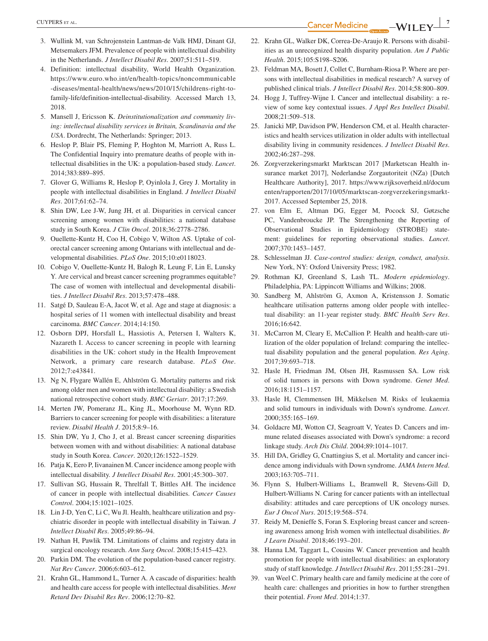**EUYPERS** ET AL. *CUYPERS ET AL. Cancer Medicine \_\_\_\_\_WILEY* 

- 3. Wullink M, van Schrojenstein Lantman-de Valk HMJ, Dinant GJ, Metsemakers JFM. Prevalence of people with intellectual disability in the Netherlands. *J Intellect Disabil Res*. 2007;51:511–519.
- 4. Definition: intellectual disability, World Health Organization. [https://www.euro.who.int/en/health-topics/noncommunicable](https://www.euro.who.int/en/health-topics/noncommunicable-diseases/mental-health/news/news/2010/15/childrens-right-to-family-life/definition-intellectual-disability) [-diseases/mental-health/news/news/2010/15/childrens-right-to](https://www.euro.who.int/en/health-topics/noncommunicable-diseases/mental-health/news/news/2010/15/childrens-right-to-family-life/definition-intellectual-disability)[family-life/definition-intellectual-disability](https://www.euro.who.int/en/health-topics/noncommunicable-diseases/mental-health/news/news/2010/15/childrens-right-to-family-life/definition-intellectual-disability). Accessed March 13, 2018.
- 5. Mansell J, Ericsson K. *Deinstitutionalization and community living: intellectual disability services in Britain, Scandinavia and the USA*. Dordrecht, The Netherlands: Springer; 2013.
- 6. Heslop P, Blair PS, Fleming P, Hoghton M, Marriott A, Russ L. The Confidential Inquiry into premature deaths of people with intellectual disabilities in the UK: a population-based study. *Lancet*. 2014;383:889–895.
- 7. Glover G, Williams R, Heslop P, Oyinlola J, Grey J. Mortality in people with intellectual disabilities in England. *J Intellect Disabil Res*. 2017;61:62–74.
- 8. Shin DW, Lee J-W, Jung JH, et al. Disparities in cervical cancer screening among women with disabilities: a national database study in South Korea. *J Clin Oncol*. 2018;36:2778–2786.
- 9. Ouellette-Kuntz H, Coo H, Cobigo V, Wilton AS. Uptake of colorectal cancer screening among Ontarians with intellectual and developmental disabilities. *PLoS One*. 2015;10:e0118023.
- 10. Cobigo V, Ouellette-Kuntz H, Balogh R, Leung F, Lin E, Lunsky Y. Are cervical and breast cancer screening programmes equitable? The case of women with intellectual and developmental disabilities. *J Intellect Disabil Res*. 2013;57:478–488.
- 11. Satgé D, Sauleau E-A, Jacot W, et al. Age and stage at diagnosis: a hospital series of 11 women with intellectual disability and breast carcinoma. *BMC Cancer*. 2014;14:150.
- 12. Osborn DPJ, Horsfall L, Hassiotis A, Petersen I, Walters K, Nazareth I. Access to cancer screening in people with learning disabilities in the UK: cohort study in the Health Improvement Network, a primary care research database. *PLoS One*. 2012;7:e43841.
- 13. Ng N, Flygare Wallén E, Ahlström G. Mortality patterns and risk among older men and women with intellectual disability: a Swedish national retrospective cohort study. *BMC Geriatr*. 2017;17:269.
- 14. Merten JW, Pomeranz JL, King JL, Moorhouse M, Wynn RD. Barriers to cancer screening for people with disabilities: a literature review. *Disabil Health J*. 2015;8:9–16.
- 15. Shin DW, Yu J, Cho J, et al. Breast cancer screening disparities between women with and without disabilities: A national database study in South Korea. *Cancer*. 2020;126:1522–1529.
- 16. Patja K, Eero P, Iivanainen M. Cancer incidence among people with intellectual disability. *J Intellect Disabil Res*. 2001;45:300–307.
- 17. Sullivan SG, Hussain R, Threlfall T, Bittles AH. The incidence of cancer in people with intellectual disabilities. *Cancer Causes Control*. 2004;15:1021–1025.
- 18. Lin J-D, Yen C, Li C, Wu Jl. Health, healthcare utilization and psychiatric disorder in people with intellectual disability in Taiwan. *J Intellect Disabil Res*. 2005;49:86–94.
- 19. Nathan H, Pawlik TM. Limitations of claims and registry data in surgical oncology research. *Ann Surg Oncol*. 2008;15:415–423.
- 20. Parkin DM. The evolution of the population-based cancer registry. *Nat Rev Cancer*. 2006;6:603–612.
- 21. Krahn GL, Hammond L, Turner A. A cascade of disparities: health and health care access for people with intellectual disabilities. *Ment Retard Dev Disabil Res Rev*. 2006;12:70–82.
- 22. Krahn GL, Walker DK, Correa-De-Araujo R. Persons with disabilities as an unrecognized health disparity population. *Am J Public Health*. 2015;105:S198–S206.
- 23. Feldman MA, Bosett J, Collet C, Burnham-Riosa P. Where are persons with intellectual disabilities in medical research? A survey of published clinical trials. *J Intellect Disabil Res*. 2014;58:800–809.
- 24. Hogg J, Tuffrey-Wijne I. Cancer and intellectual disability: a review of some key contextual issues. *J Appl Res Intellect Disabil*. 2008;21:509–518.
- 25. Janicki MP, Davidson PW, Henderson CM, et al. Health characteristics and health services utilization in older adults with intellectual disability living in community residences. *J Intellect Disabil Res*. 2002;46:287–298.
- 26. Zorgverzekeringsmarkt Marktscan 2017 [Marketscan Health insurance market 2017], Nederlandse Zorgautoriteit (NZa) [Dutch Healthcare Authority], 2017. [https://www.rijksoverheid.nl/docum](https://www.rijksoverheid.nl/documenten/rapporten/2017/10/05/marktscan-zorgverzekeringsmarkt-2017) [enten/rapporten/2017/10/05/marktscan-zorgverzekeringsmarkt-](https://www.rijksoverheid.nl/documenten/rapporten/2017/10/05/marktscan-zorgverzekeringsmarkt-2017)[2017.](https://www.rijksoverheid.nl/documenten/rapporten/2017/10/05/marktscan-zorgverzekeringsmarkt-2017) Accessed September 25, 2018.
- 27. von Elm E, Altman DG, Egger M, Pocock SJ, Gøtzsche PC, Vandenbroucke JP. The Strengthening the Reporting of Observational Studies in Epidemiology (STROBE) statement: guidelines for reporting observational studies. *Lancet*. 2007;370:1453–1457.
- 28. Schlesselman JJ. *Case-control studies: design, conduct, analysis*. New York, NY: Oxford University Press; 1982.
- 29. Rothman KJ, Greenland S, Lash TL. *Modern epidemiology*. Philadelphia, PA: Lippincott Williams and Wilkins; 2008.
- 30. Sandberg M, Ahlström G, Axmon A, Kristensson J. Somatic healthcare utilisation patterns among older people with intellectual disability: an 11-year register study. *BMC Health Serv Res*. 2016;16:642.
- 31. McCarron M, Cleary E, McCallion P. Health and health-care utilization of the older population of Ireland: comparing the intellectual disability population and the general population. *Res Aging*. 2017;39:693–718.
- 32. Hasle H, Friedman JM, Olsen JH, Rasmussen SA. Low risk of solid tumors in persons with Down syndrome. *Genet Med*. 2016;18:1151–1157.
- 33. Hasle H, Clemmensen IH, Mikkelsen M. Risks of leukaemia and solid tumours in individuals with Down's syndrome. *Lancet*. 2000;355:165–169.
- 34. Goldacre MJ, Wotton CJ, Seagroatt V, Yeates D. Cancers and immune related diseases associated with Down's syndrome: a record linkage study. *Arch Dis Child*. 2004;89:1014–1017.
- 35. Hill DA, Gridley G, Cnattingius S, et al. Mortality and cancer incidence among individuals with Down syndrome. *JAMA Intern Med*. 2003;163:705–711.
- 36. Flynn S, Hulbert-Williams L, Bramwell R, Stevens-Gill D, Hulbert-Williams N. Caring for cancer patients with an intellectual disability: attitudes and care perceptions of UK oncology nurses. *Eur J Oncol Nurs*. 2015;19:568–574.
- 37. Reidy M, Denieffe S, Foran S. Exploring breast cancer and screening awareness among Irish women with intellectual disabilities. *Br J Learn Disabil*. 2018;46:193–201.
- 38. Hanna LM, Taggart L, Cousins W. Cancer prevention and health promotion for people with intellectual disabilities: an exploratory study of staff knowledge. *J Intellect Disabil Res*. 2011;55:281–291.
- 39. van Weel C. Primary health care and family medicine at the core of health care: challenges and priorities in how to further strengthen their potential. *Front Med*. 2014;1:37.